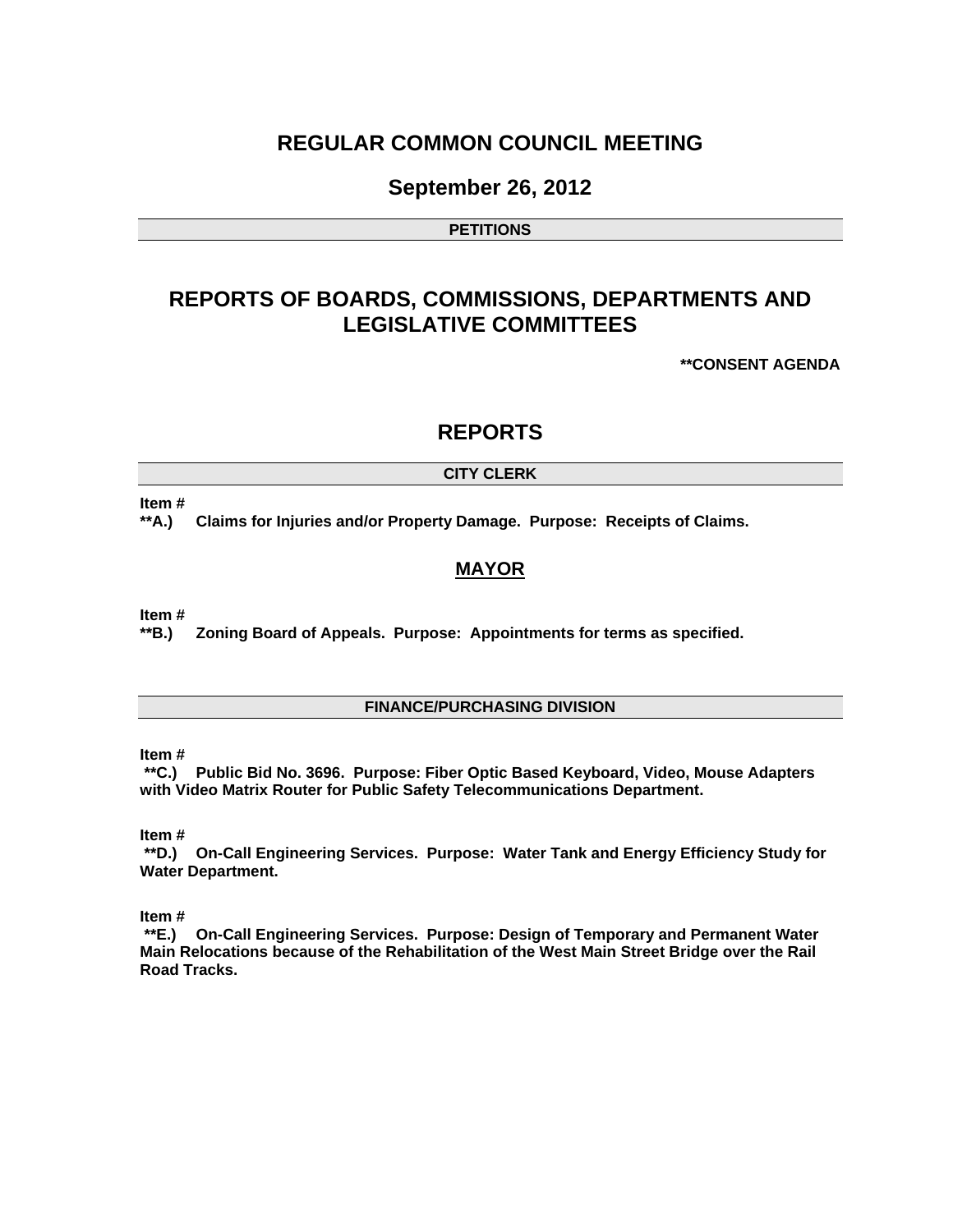# **REGULAR COMMON COUNCIL MEETING**

## **September 26, 2012**

#### **PETITIONS**

# **REPORTS OF BOARDS, COMMISSIONS, DEPARTMENTS AND LEGISLATIVE COMMITTEES**

**\*\*CONSENT AGENDA** 

## **REPORTS**

#### **CITY CLERK**

#### **Item #**

**\*\*A.) Claims for Injuries and/or Property Damage. Purpose: Receipts of Claims.** 

### **MAYOR**

**Item #** 

**\*\*B.) Zoning Board of Appeals. Purpose: Appointments for terms as specified.** 

#### **FINANCE/PURCHASING DIVISION**

**Item #** 

 **\*\*C.) Public Bid No. 3696. Purpose: Fiber Optic Based Keyboard, Video, Mouse Adapters with Video Matrix Router for Public Safety Telecommunications Department.** 

**Item #** 

 **\*\*D.) On-Call Engineering Services. Purpose: Water Tank and Energy Efficiency Study for Water Department.** 

**Item #** 

 **\*\*E.) On-Call Engineering Services. Purpose: Design of Temporary and Permanent Water Main Relocations because of the Rehabilitation of the West Main Street Bridge over the Rail Road Tracks.**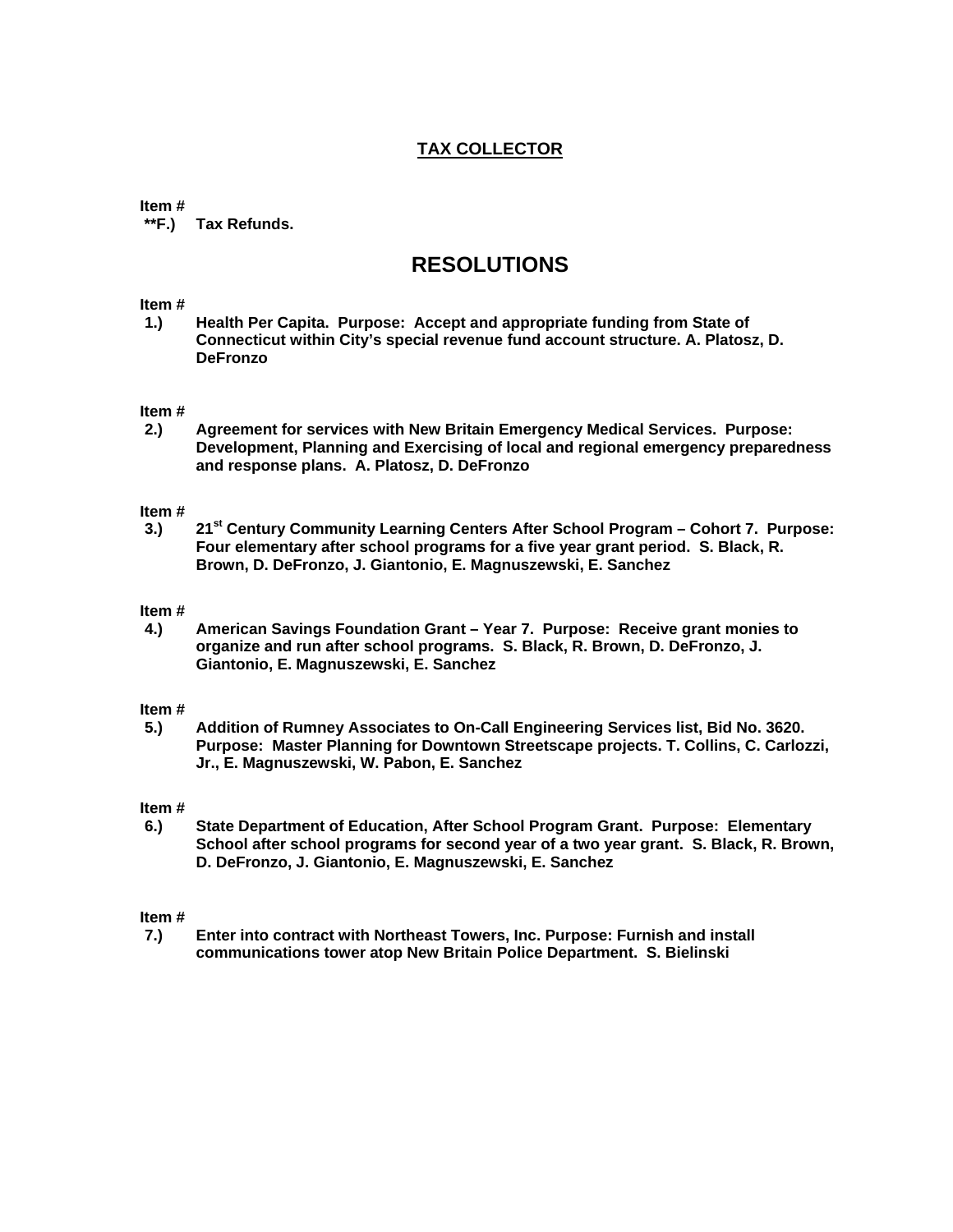## **TAX COLLECTOR**

#### **Item #**

 **\*\*F.) Tax Refunds.** 

# **RESOLUTIONS**

#### **Item #**

**1.) Health Per Capita. Purpose: Accept and appropriate funding from State of Connecticut within City's special revenue fund account structure. A. Platosz, D. DeFronzo** 

#### **Item #**

**2.) Agreement for services with New Britain Emergency Medical Services. Purpose: Development, Planning and Exercising of local and regional emergency preparedness and response plans. A. Platosz, D. DeFronzo** 

#### **Item #**

**3.) 21st Century Community Learning Centers After School Program – Cohort 7. Purpose: Four elementary after school programs for a five year grant period. S. Black, R. Brown, D. DeFronzo, J. Giantonio, E. Magnuszewski, E. Sanchez** 

#### **Item #**

**4.) American Savings Foundation Grant – Year 7. Purpose: Receive grant monies to organize and run after school programs. S. Black, R. Brown, D. DeFronzo, J. Giantonio, E. Magnuszewski, E. Sanchez** 

#### **Item #**

**5.) Addition of Rumney Associates to On-Call Engineering Services list, Bid No. 3620. Purpose: Master Planning for Downtown Streetscape projects. T. Collins, C. Carlozzi, Jr., E. Magnuszewski, W. Pabon, E. Sanchez** 

#### **Item #**

**6.) State Department of Education, After School Program Grant. Purpose: Elementary School after school programs for second year of a two year grant. S. Black, R. Brown, D. DeFronzo, J. Giantonio, E. Magnuszewski, E. Sanchez** 

# **Item #**

**7.) Enter into contract with Northeast Towers, Inc. Purpose: Furnish and install communications tower atop New Britain Police Department. S. Bielinski**